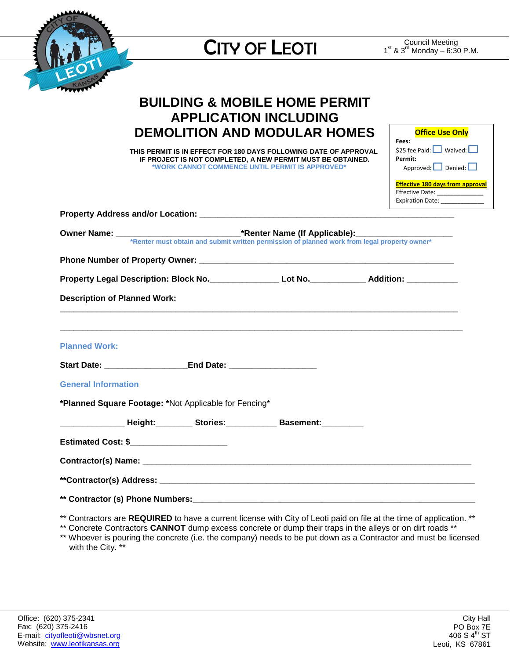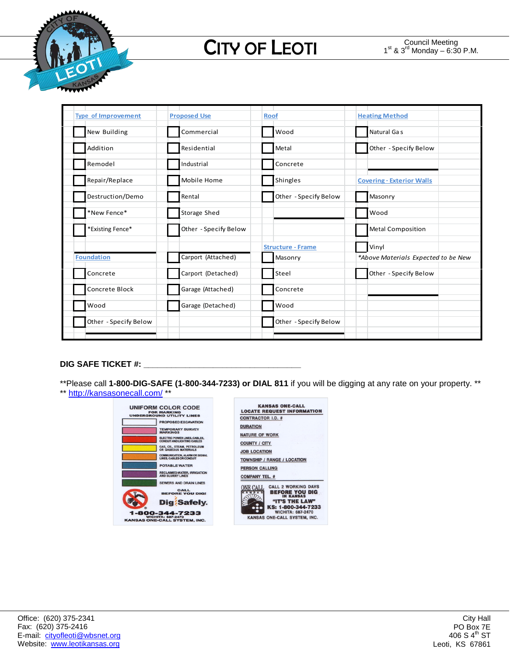

 $\label{eq:2.1} \mathcal{L}(\mathcal{L}^{\text{max}}_{\mathcal{L}}(\mathcal{L}^{\text{max}}_{\mathcal{L}})) \leq \mathcal{L}(\mathcal{L}^{\text{max}}_{\mathcal{L}}(\mathcal{L}^{\text{max}}_{\mathcal{L}}))$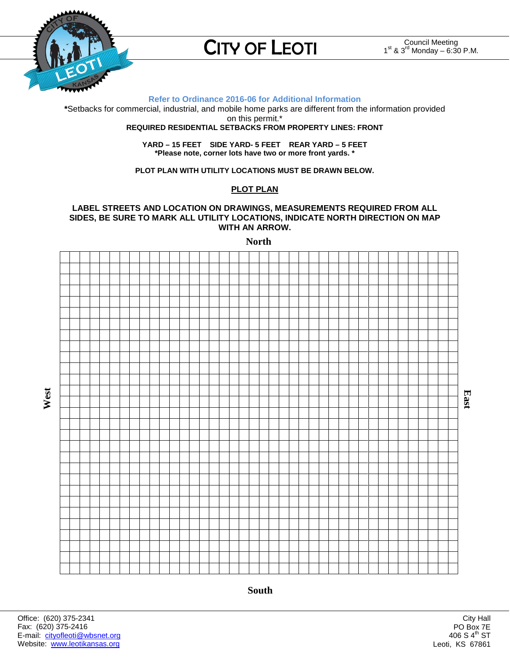

# **CITY OF LEOTI**

#### **Refer to Ordinance 2016-06 for Additional Information**

**\***Setbacks for commercial, industrial, and mobile home parks are different from the information provided on this permit.\*

### **REQUIRED RESIDENTIAL SETBACKS FROM PROPERTY LINES: FRONT**

**YARD – 15 FEET SIDE YARD- 5 FEET REAR YARD – 5 FEET \*Please note, corner lots have two or more front yards. \***

**PLOT PLAN WITH UTILITY LOCATIONS MUST BE DRAWN BELOW.** 

## **PLOT PLAN**

### **LABEL STREETS AND LOCATION ON DRAWINGS, MEASUREMENTS REQUIRED FROM ALL SIDES, BE SURE TO MARK ALL UTILITY LOCATIONS, INDICATE NORTH DIRECTION ON MAP WITH AN ARROW.**



**North**

Website: [www.leotikansas.org](http://www.leotikansas.org/)